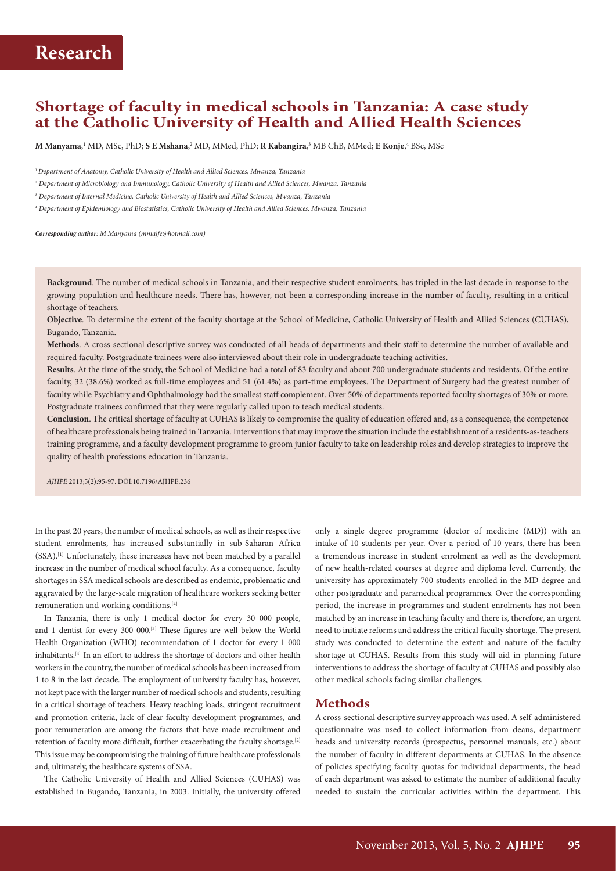## **Shortage of faculty in medical schools in Tanzania: A case study at the Catholic University of Health and Allied Health Sciences**

 $\bm{\mathrm{M}}$  Manyama, ' MD, MSc, PhD;  $\bm{\mathrm{S}}$  **E** Mshana,<sup>2</sup> MD, MMed, PhD;  $\bm{\mathrm{R}}$  Kabangira,<sup>3</sup> MB ChB, MMed; **E Konje**,<sup>4</sup> BSc, MSc

<sup>1</sup>*Department of Anatomy, Catholic University of Health and Allied Sciences, Mwanza, Tanzania*

2  *Department of Microbiology and Immunology, Catholic University of Health and Allied Sciences, Mwanza, Tanzania*

3  *Department of Internal Medicine, Catholic University of Health and Allied Sciences, Mwanza, Tanzania*

4  *Department of Epidemiology and Biostatistics, Catholic University of Health and Allied Sciences, Mwanza, Tanzania*

*Corresponding author: M Manyama [\(mmajfe@hotmail.com\)](mailto:mmajfe@hotmail.com)*

**Background**. The number of medical schools in Tanzania, and their respective student enrolments, has tripled in the last decade in response to the growing population and healthcare needs. There has, however, not been a corresponding increase in the number of faculty, resulting in a critical shortage of teachers.

**Objective**. To determine the extent of the faculty shortage at the School of Medicine, Catholic University of Health and Allied Sciences (CUHAS), Bugando, Tanzania.

**Methods**. A cross-sectional descriptive survey was conducted of all heads of departments and their staff to determine the number of available and required faculty. Postgraduate trainees were also interviewed about their role in undergraduate teaching activities.

**Results**. At the time of the study, the School of Medicine had a total of 83 faculty and about 700 undergraduate students and residents. Of the entire faculty, 32 (38.6%) worked as full-time employees and 51 (61.4%) as part-time employees. The Department of Surgery had the greatest number of faculty while Psychiatry and Ophthalmology had the smallest staff complement. Over 50% of departments reported faculty shortages of 30% or more. Postgraduate trainees confirmed that they were regularly called upon to teach medical students.

**Conclusion**. The critical shortage of faculty at CUHAS is likely to compromise the quality of education offered and, as a consequence, the competence of healthcare professionals being trained in Tanzania. Interventions that may improve the situation include the establishment of a residents-as-teachers training programme, and a faculty development programme to groom junior faculty to take on leadership roles and develop strategies to improve the quality of health professions education in Tanzania.

*AJHPE* 2013;5(2):95-97. DOI:10.7196/AJHPE.236

In the past 20 years, the number of medical schools, as well as their respective student enrolments, has increased substantially in sub-Saharan Africa (SSA).[1] Unfortunately, these increases have not been matched by a parallel increase in the number of medical school faculty. As a consequence, faculty shortages in SSA medical schools are described as endemic, problematic and aggravated by the large-scale migration of healthcare workers seeking better remuneration and working conditions.[2]

In Tanzania, there is only 1 medical doctor for every 30 000 people, and 1 dentist for every 300 000.<sup>[3]</sup> These figures are well below the World Health Organization (WHO) recommendation of 1 doctor for every 1 000 inhabitants.[4] In an effort to address the shortage of doctors and other health workers in the country, the number of medical schools has been increased from 1 to 8 in the last decade. The employment of university faculty has, however, not kept pace with the larger number of medical schools and students, resulting in a critical shortage of teachers. Heavy teaching loads, stringent recruitment and promotion criteria, lack of clear faculty development programmes, and poor remuneration are among the factors that have made recruitment and retention of faculty more difficult, further exacerbating the faculty shortage.[2] This issue may be compromising the training of future healthcare professionals and, ultimately, the healthcare systems of SSA.

The Catholic University of Health and Allied Sciences (CUHAS) was established in Bugando, Tanzania, in 2003. Initially, the university offered

only a single degree programme (doctor of medicine (MD)) with an intake of 10 students per year. Over a period of 10 years, there has been a tremendous increase in student enrolment as well as the development of new health-related courses at degree and diploma level. Currently, the university has approximately 700 students enrolled in the MD degree and other postgraduate and paramedical programmes. Over the corresponding period, the increase in programmes and student enrolments has not been matched by an increase in teaching faculty and there is, therefore, an urgent need to initiate reforms and address the critical faculty shortage. The present study was conducted to determine the extent and nature of the faculty shortage at CUHAS. Results from this study will aid in planning future interventions to address the shortage of faculty at CUHAS and possibly also other medical schools facing similar challenges.

### **Methods**

A cross-sectional descriptive survey approach was used. A self-administered questionnaire was used to collect information from deans, department heads and university records (prospectus, personnel manuals, etc.) about the number of faculty in different departments at CUHAS. In the absence of policies specifying faculty quotas for individual departments, the head of each department was asked to estimate the number of additional faculty needed to sustain the curricular activities within the department. This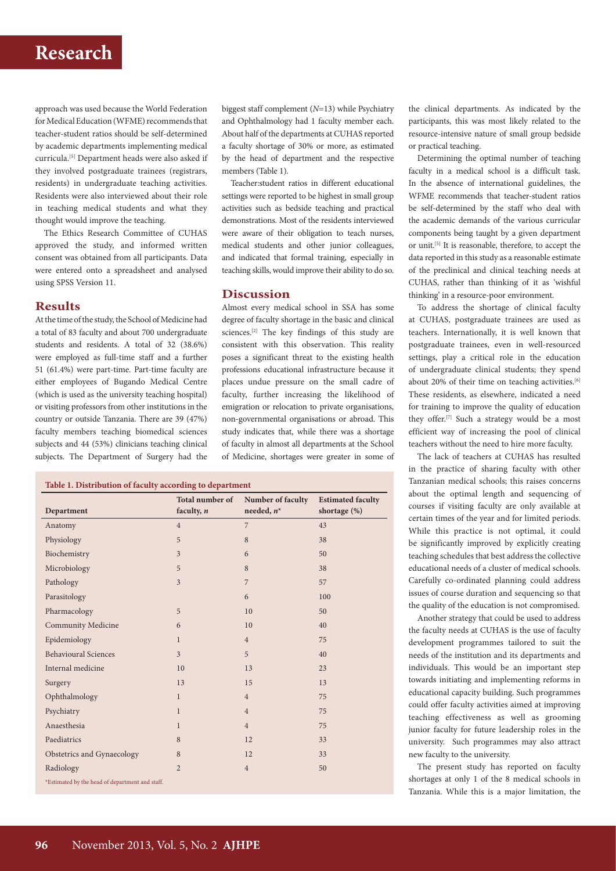# **Research**

approach was used because the World Federation for Medical Education (WFME) recommends that teacher-student ratios should be self-determined by academic departments implementing medical curricula.[5] Department heads were also asked if they involved postgraduate trainees (registrars, residents) in undergraduate teaching activities. Residents were also interviewed about their role in teaching medical students and what they thought would improve the teaching.

The Ethics Research Committee of CUHAS approved the study, and informed written consent was obtained from all participants. Data were entered onto a spreadsheet and analysed using SPSS Version 11.

### **Results**

At the time of the study, the School of Medicine had a total of 83 faculty and about 700 undergraduate students and residents. A total of 32 (38.6%) were employed as full-time staff and a further 51 (61.4%) were part-time. Part-time faculty are either employees of Bugando Medical Centre (which is used as the university teaching hospital) or visiting professors from other institutions in the country or outside Tanzania. There are 39 (47%) faculty members teaching biomedical sciences subjects and 44 (53%) clinicians teaching clinical subjects. The Department of Surgery had the

biggest staff complement (*N*=13) while Psychiatry and Ophthalmology had 1 faculty member each. About half of the departments at CUHAS reported a faculty shortage of 30% or more, as estimated by the head of department and the respective members (Table 1).

Teacher:student ratios in different educational settings were reported to be highest in small group activities such as bedside teaching and practical demonstrations. Most of the residents interviewed were aware of their obligation to teach nurses, medical students and other junior colleagues, and indicated that formal training, especially in teaching skills, would improve their ability to do so.

#### **Discussion**

Almost every medical school in SSA has some degree of faculty shortage in the basic and clinical sciences.[2] The key findings of this study are consistent with this observation. This reality poses a significant threat to the existing health professions educational infrastructure because it places undue pressure on the small cadre of faculty, further increasing the likelihood of emigration or relocation to private organisations, non-governmental organisations or abroad. This study indicates that, while there was a shortage of faculty in almost all departments at the School of Medicine, shortages were greater in some of

#### **Table 1. Distribution of faculty according to department**

|                                                 | Total number of | Number of faculty | <b>Estimated faculty</b> |
|-------------------------------------------------|-----------------|-------------------|--------------------------|
| Department                                      | faculty, $n$    | needed, $n^*$     | shortage $(\%)$          |
| Anatomy                                         | $\overline{4}$  | $\overline{7}$    | 43                       |
| Physiology                                      | 5               | 8                 | 38                       |
| Biochemistry                                    | 3               | 6                 | 50                       |
| Microbiology                                    | 5               | 8                 | 38                       |
| Pathology                                       | $\overline{3}$  | $\overline{7}$    | 57                       |
| Parasitology                                    |                 | 6                 | 100                      |
| Pharmacology                                    | 5               | 10                | 50                       |
| <b>Community Medicine</b>                       | 6               | 10                | 40                       |
| Epidemiology                                    | $\mathbf{1}$    | $\overline{4}$    | 75                       |
| <b>Behavioural Sciences</b>                     | 3               | 5                 | 40                       |
| Internal medicine                               | 10              | 13                | 23                       |
| Surgery                                         | 13              | 15                | 13                       |
| Ophthalmology                                   | $\mathbf{1}$    | $\overline{4}$    | 75                       |
| Psychiatry                                      | $\mathbf{1}$    | $\overline{4}$    | 75                       |
| Anaesthesia                                     | $\mathbf{1}$    | $\overline{4}$    | 75                       |
| Paediatrics                                     | 8               | 12                | 33                       |
| Obstetrics and Gynaecology                      | 8               | 12                | 33                       |
| Radiology                                       | $\overline{2}$  | $\sqrt{4}$        | 50                       |
| *Estimated by the head of department and staff. |                 |                   |                          |

the clinical departments. As indicated by the participants, this was most likely related to the resource-intensive nature of small group bedside or practical teaching.

Determining the optimal number of teaching faculty in a medical school is a difficult task. In the absence of international guidelines, the WFME recommends that teacher-student ratios be self-determined by the staff who deal with the academic demands of the various curricular components being taught by a given department or unit.[5] It is reasonable, therefore, to accept the data reported in this study as a reasonable estimate of the preclinical and clinical teaching needs at CUHAS, rather than thinking of it as 'wishful thinking' in a resource-poor environment.

To address the shortage of clinical faculty at CUHAS, postgraduate trainees are used as teachers. Internationally, it is well known that postgraduate trainees, even in well-resourced settings, play a critical role in the education of undergraduate clinical students; they spend about 20% of their time on teaching activities.<sup>[6]</sup> These residents, as elsewhere, indicated a need for training to improve the quality of education they offer.[7] Such a strategy would be a most efficient way of increasing the pool of clinical teachers without the need to hire more faculty.

The lack of teachers at CUHAS has resulted in the practice of sharing faculty with other Tanzanian medical schools; this raises concerns about the optimal length and sequencing of courses if visiting faculty are only available at certain times of the year and for limited periods. While this practice is not optimal, it could be significantly improved by explicitly creating teaching schedules that best address the collective educational needs of a cluster of medical schools. Carefully co-ordinated planning could address issues of course duration and sequencing so that the quality of the education is not compromised.

Another strategy that could be used to address the faculty needs at CUHAS is the use of faculty development programmes tailored to suit the needs of the institution and its departments and individuals. This would be an important step towards initiating and implementing reforms in educational capacity building. Such programmes could offer faculty activities aimed at improving teaching effectiveness as well as grooming junior faculty for future leadership roles in the university. Such programmes may also attract new faculty to the university.

The present study has reported on faculty shortages at only 1 of the 8 medical schools in Tanzania. While this is a major limitation, the